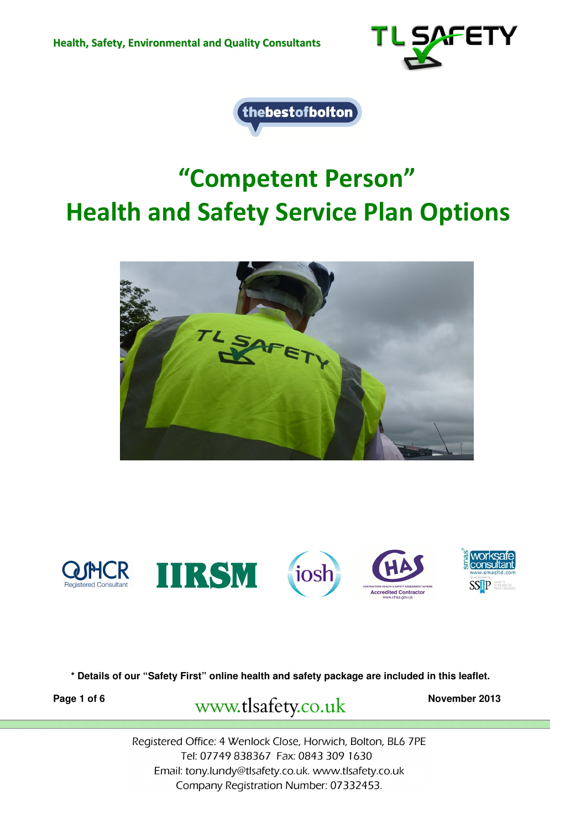



### "Competent Person" Health and Safety Service Plan Options





**\* Details of our "Safety First" online health and safety package are included in this leaflet.** 

Page 1 of 6 WWW.tlsafety.co.uk November 2013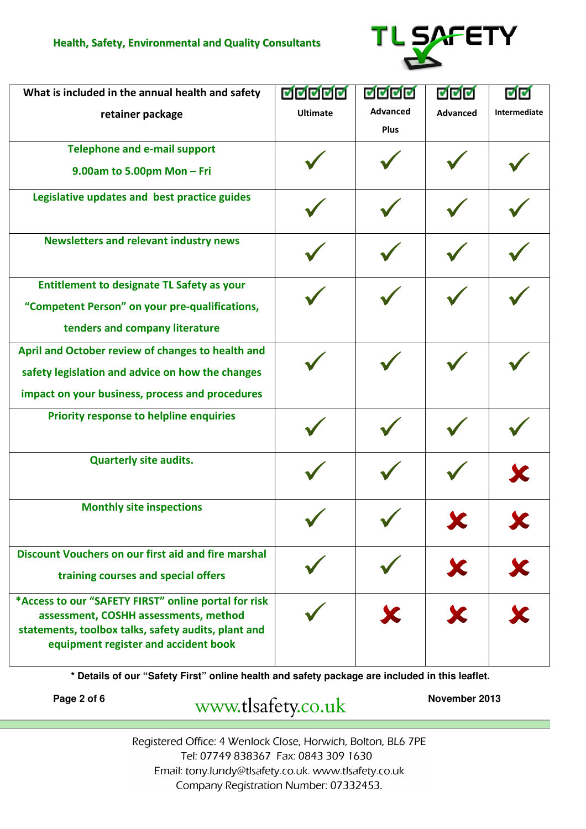

| What is included in the annual health and safety                                              | 7777            | जनन                     | ⊽⊽⊽             | ⊽⊽           |
|-----------------------------------------------------------------------------------------------|-----------------|-------------------------|-----------------|--------------|
| retainer package                                                                              | <b>Ultimate</b> | <b>Advanced</b><br>Plus | <b>Advanced</b> | Intermediate |
| <b>Telephone and e-mail support</b>                                                           |                 |                         |                 |              |
| 9.00am to 5.00pm Mon - Fri                                                                    |                 |                         |                 |              |
| Legislative updates and best practice guides                                                  |                 |                         |                 |              |
| <b>Newsletters and relevant industry news</b>                                                 |                 |                         |                 |              |
| <b>Entitlement to designate TL Safety as your</b>                                             |                 |                         |                 |              |
| "Competent Person" on your pre-qualifications,                                                |                 |                         |                 |              |
| tenders and company literature                                                                |                 |                         |                 |              |
| April and October review of changes to health and                                             |                 |                         |                 |              |
| safety legislation and advice on how the changes                                              |                 |                         |                 |              |
| impact on your business, process and procedures                                               |                 |                         |                 |              |
| <b>Priority response to helpline enquiries</b>                                                |                 |                         |                 |              |
| <b>Quarterly site audits.</b>                                                                 |                 |                         |                 |              |
|                                                                                               |                 |                         |                 |              |
| <b>Monthly site inspections</b>                                                               |                 |                         |                 |              |
|                                                                                               |                 |                         |                 |              |
| Discount Vouchers on our first aid and fire marshal                                           |                 |                         |                 |              |
| training courses and special offers                                                           |                 |                         |                 |              |
| *Access to our "SAFETY FIRST" online portal for risk<br>assessment, COSHH assessments, method |                 |                         |                 |              |
| statements, toolbox talks, safety audits, plant and                                           |                 |                         |                 |              |
| equipment register and accident book                                                          |                 |                         |                 |              |

**\* Details of our "Safety First" online health and safety package are included in this leaflet.** 

**Page 2 of 6** 

**Page 10 November 2013 Page 2013**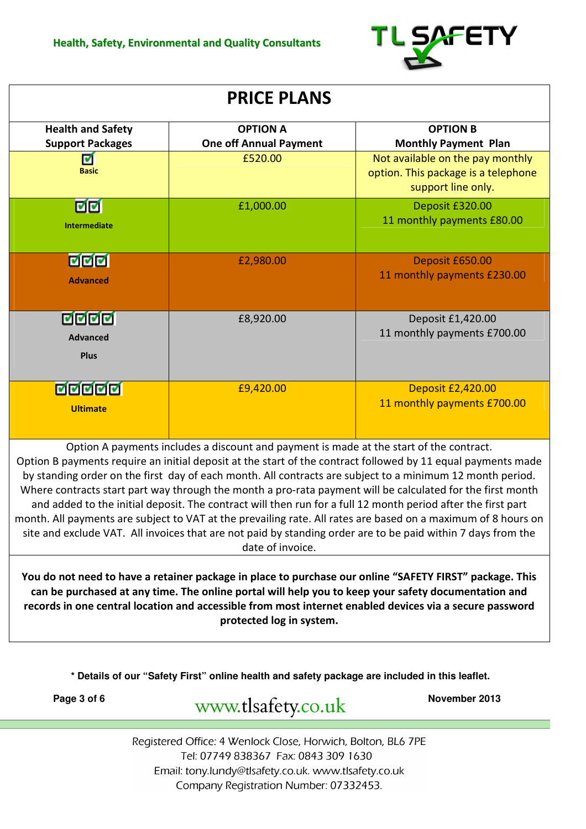

| <b>PRICE PLANS</b>                                  |                                                  |                                                                                               |  |
|-----------------------------------------------------|--------------------------------------------------|-----------------------------------------------------------------------------------------------|--|
| <b>Health and Safety</b><br><b>Support Packages</b> | <b>OPTION A</b><br><b>One off Annual Payment</b> | <b>OPTION B</b><br><b>Monthly Payment Plan</b>                                                |  |
| <b>Basic</b>                                        | £520.00                                          | Not available on the pay monthly<br>option. This package is a telephone<br>support line only. |  |
| øø<br>Intermediate                                  | £1,000.00                                        | Deposit £320.00<br>11 monthly payments £80.00                                                 |  |
| <b>MMM</b><br><b>Advanced</b>                       | £2,980.00                                        | Deposit £650.00<br>11 monthly payments £230.00                                                |  |
| ललल<br><b>Advanced</b><br><b>Plus</b>               | £8,920.00                                        | Deposit £1,420.00<br>11 monthly payments £700.00                                              |  |
| <u>लललल</u><br><b>Ultimate</b>                      | £9,420.00                                        | <b>Deposit £2,420.00</b><br>11 monthly payments £700.00                                       |  |

Option A payments includes a discount and payment is made at the start of the contract. Option B payments require an initial deposit at the start of the contract followed by 11 equal payments made by standing order on the first day of each month. All contracts are subject to a minimum 12 month period. Where contracts start part way through the month a pro-rata payment will be calculated for the first month and added to the initial deposit. The contract will then run for a full 12 month period after the first part month. All payments are subject to VAT at the prevailing rate. All rates are based on a maximum of 8 hours on site and exclude VAT. All invoices that are not paid by standing order are to be paid within 7 days from the date of invoice.

You do not need to have a retainer package in place to purchase our online "SAFETY FIRST" package. This can be purchased at any time. The online portal will help you to keep your safety documentation and records in one central location and accessible from most internet enabled devices via a secure password protected log in system.

**\* Details of our "Safety First" online health and safety package are included in this leaflet.** 

Page 3 of 6 WWW.tlsafety.co.uk November 2013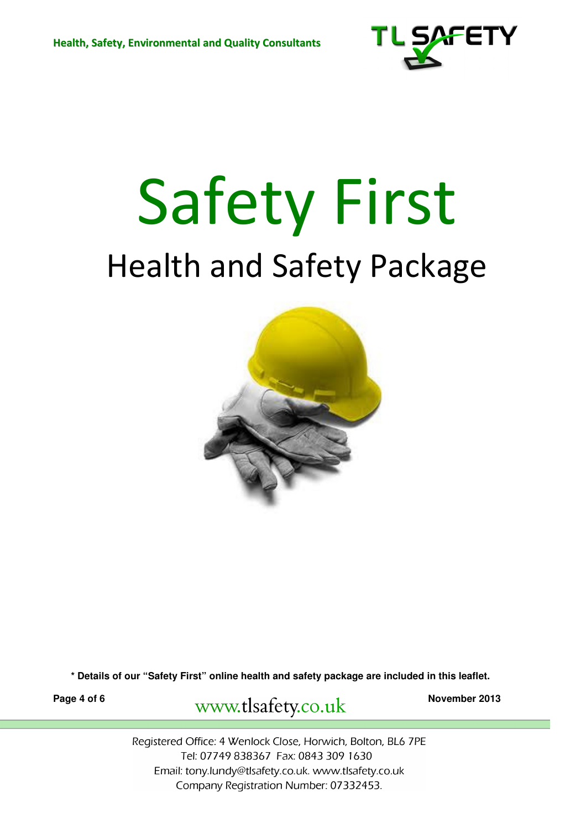

# Safety First Health and Safety Package



**\* Details of our "Safety First" online health and safety package are included in this leaflet.** 

Page 4 of 6 WWW.tlsafety.co.uk November 2013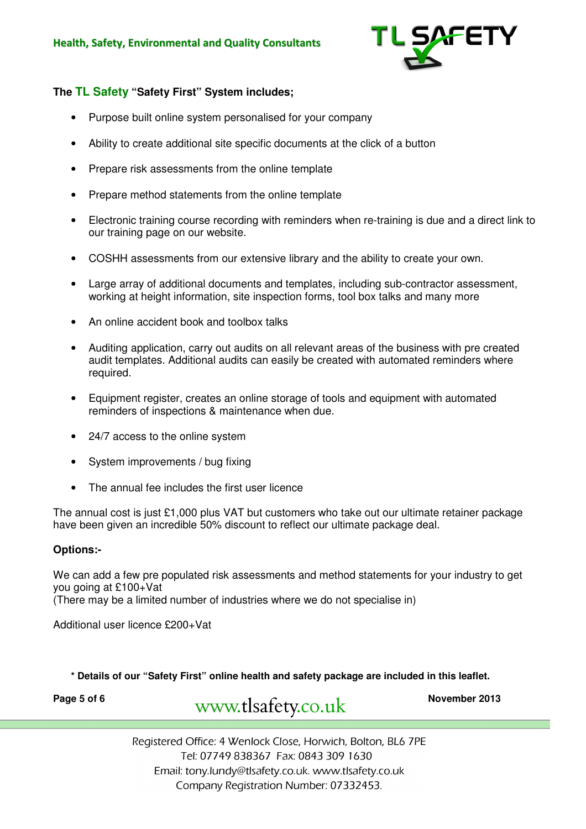

#### **The TL Safety "Safety First" System includes;**

- Purpose built online system personalised for your company
- Ability to create additional site specific documents at the click of a button
- Prepare risk assessments from the online template
- Prepare method statements from the online template
- Electronic training course recording with reminders when re-training is due and a direct link to our training page on our website.
- COSHH assessments from our extensive library and the ability to create your own.
- Large array of additional documents and templates, including sub-contractor assessment, working at height information, site inspection forms, tool box talks and many more
- An online accident book and toolbox talks
- Auditing application, carry out audits on all relevant areas of the business with pre created audit templates. Additional audits can easily be created with automated reminders where required.
- Equipment register, creates an online storage of tools and equipment with automated reminders of inspections & maintenance when due.
- 24/7 access to the online system
- System improvements / bug fixing
- The annual fee includes the first user licence

The annual cost is just £1,000 plus VAT but customers who take out our ultimate retainer package have been given an incredible 50% discount to reflect our ultimate package deal.

#### **Options:-**

We can add a few pre populated risk assessments and method statements for your industry to get you going at £100+Vat (There may be a limited number of industries where we do not specialise in)

Additional user licence £200+Vat

**\* Details of our "Safety First" online health and safety package are included in this leaflet.** 

Page 5 of 6 WWW.tlsafety.co.uk November 2013